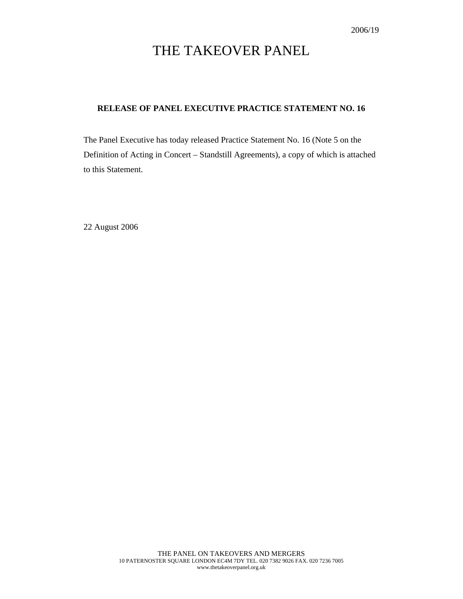# THE TAKEOVER PANEL

#### **RELEASE OF PANEL EXECUTIVE PRACTICE STATEMENT NO. 16**

The Panel Executive has today released Practice Statement No. 16 (Note 5 on the Definition of Acting in Concert – Standstill Agreements), a copy of which is attached to this Statement.

22 August 2006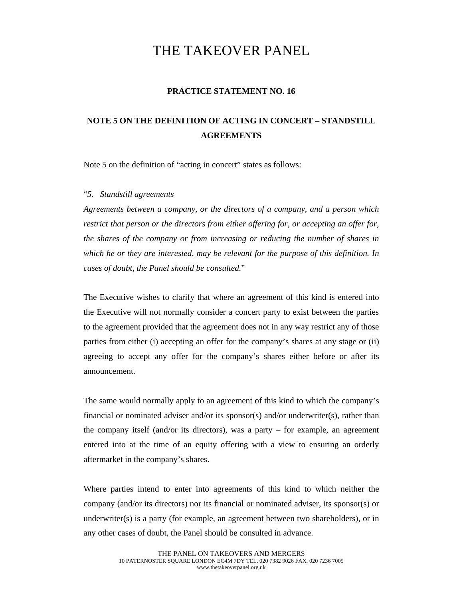## THE TAKEOVER PANEL

#### **PRACTICE STATEMENT NO. 16**

### **NOTE 5 ON THE DEFINITION OF ACTING IN CONCERT – STANDSTILL AGREEMENTS**

Note 5 on the definition of "acting in concert" states as follows:

#### "*5. Standstill agreements*

*Agreements between a company, or the directors of a company, and a person which restrict that person or the directors from either offering for, or accepting an offer for, the shares of the company or from increasing or reducing the number of shares in which he or they are interested, may be relevant for the purpose of this definition. In cases of doubt, the Panel should be consulted.*"

The Executive wishes to clarify that where an agreement of this kind is entered into the Executive will not normally consider a concert party to exist between the parties to the agreement provided that the agreement does not in any way restrict any of those parties from either (i) accepting an offer for the company's shares at any stage or (ii) agreeing to accept any offer for the company's shares either before or after its announcement.

The same would normally apply to an agreement of this kind to which the company's financial or nominated adviser and/or its sponsor(s) and/or underwriter(s), rather than the company itself (and/or its directors), was a party – for example, an agreement entered into at the time of an equity offering with a view to ensuring an orderly aftermarket in the company's shares.

Where parties intend to enter into agreements of this kind to which neither the company (and/or its directors) nor its financial or nominated adviser, its sponsor(s) or underwriter(s) is a party (for example, an agreement between two shareholders), or in any other cases of doubt, the Panel should be consulted in advance.